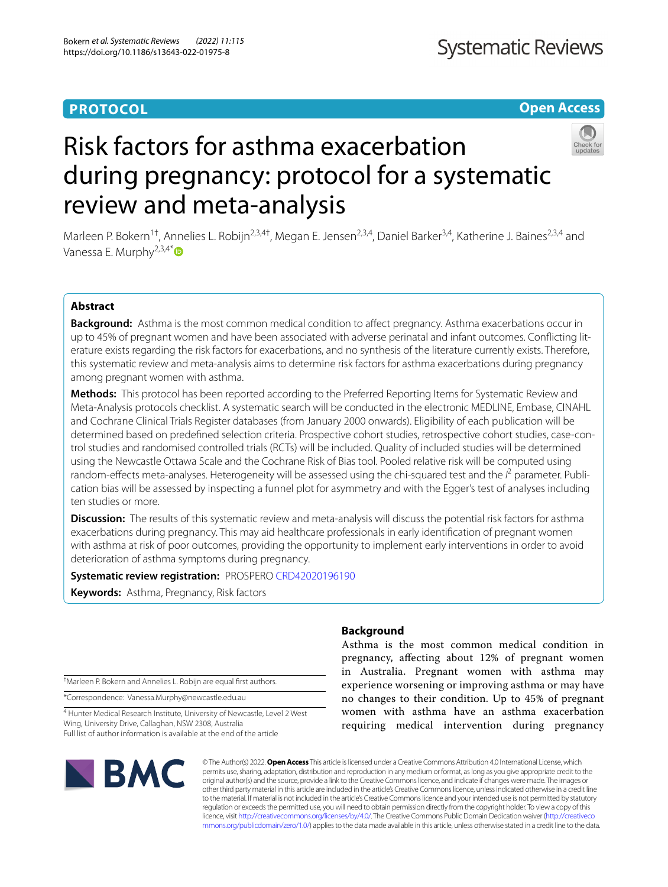## **PROTOCOL**

**Open Access**

# Risk factors for asthma exacerbation during pregnancy: protocol for a systematic review and meta-analysis

Marleen P. Bokern<sup>1†</sup>, Annelies L. Robijn<sup>2,3,4†</sup>, Megan E. Jensen<sup>2,3,4</sup>, Daniel Barker<sup>3,4</sup>, Katherine J. Baines<sup>2,3,4</sup> and Vanessa E. Murphy<sup>2,3,4\*</sup> $\bullet$ 

### **Abstract**

**Background:** Asthma is the most common medical condition to afect pregnancy. Asthma exacerbations occur in up to 45% of pregnant women and have been associated with adverse perinatal and infant outcomes. Conficting literature exists regarding the risk factors for exacerbations, and no synthesis of the literature currently exists. Therefore, this systematic review and meta-analysis aims to determine risk factors for asthma exacerbations during pregnancy among pregnant women with asthma.

**Methods:** This protocol has been reported according to the Preferred Reporting Items for Systematic Review and Meta-Analysis protocols checklist. A systematic search will be conducted in the electronic MEDLINE, Embase, CINAHL and Cochrane Clinical Trials Register databases (from January 2000 onwards). Eligibility of each publication will be determined based on predefned selection criteria. Prospective cohort studies, retrospective cohort studies, case-control studies and randomised controlled trials (RCTs) will be included. Quality of included studies will be determined using the Newcastle Ottawa Scale and the Cochrane Risk of Bias tool. Pooled relative risk will be computed using random-effects meta-analyses. Heterogeneity will be assessed using the chi-squared test and the <sup>*P*</sup> parameter. Publication bias will be assessed by inspecting a funnel plot for asymmetry and with the Egger's test of analyses including ten studies or more.

**Discussion:** The results of this systematic review and meta-analysis will discuss the potential risk factors for asthma exacerbations during pregnancy. This may aid healthcare professionals in early identifcation of pregnant women with asthma at risk of poor outcomes, providing the opportunity to implement early interventions in order to avoid deterioration of asthma symptoms during pregnancy.

**Systematic review registration:** PROSPERO [CRD42020196190](https://www.crd.york.ac.uk/prospero/display_record.php?RecordID=196190)

**Keywords:** Asthma, Pregnancy, Risk factors

† Marleen P. Bokern and Annelies L. Robijn are equal frst authors.

\*Correspondence: Vanessa.Murphy@newcastle.edu.au

4 Hunter Medical Research Institute, University of Newcastle, Level 2 West Wing, University Drive, Callaghan, NSW 2308, Australia Full list of author information is available at the end of the article

# **Background**

Asthma is the most common medical condition in pregnancy, afecting about 12% of pregnant women in Australia. Pregnant women with asthma may experience worsening or improving asthma or may have no changes to their condition. Up to 45% of pregnant women with asthma have an asthma exacerbation requiring medical intervention during pregnancy



© The Author(s) 2022. **Open Access** This article is licensed under a Creative Commons Attribution 4.0 International License, which permits use, sharing, adaptation, distribution and reproduction in any medium or format, as long as you give appropriate credit to the original author(s) and the source, provide a link to the Creative Commons licence, and indicate if changes were made. The images or other third party material in this article are included in the article's Creative Commons licence, unless indicated otherwise in a credit line to the material. If material is not included in the article's Creative Commons licence and your intended use is not permitted by statutory regulation or exceeds the permitted use, you will need to obtain permission directly from the copyright holder. To view a copy of this licence, visit [http://creativecommons.org/licenses/by/4.0/.](http://creativecommons.org/licenses/by/4.0/) The Creative Commons Public Domain Dedication waiver ([http://creativeco](http://creativecommons.org/publicdomain/zero/1.0/) [mmons.org/publicdomain/zero/1.0/](http://creativecommons.org/publicdomain/zero/1.0/)) applies to the data made available in this article, unless otherwise stated in a credit line to the data.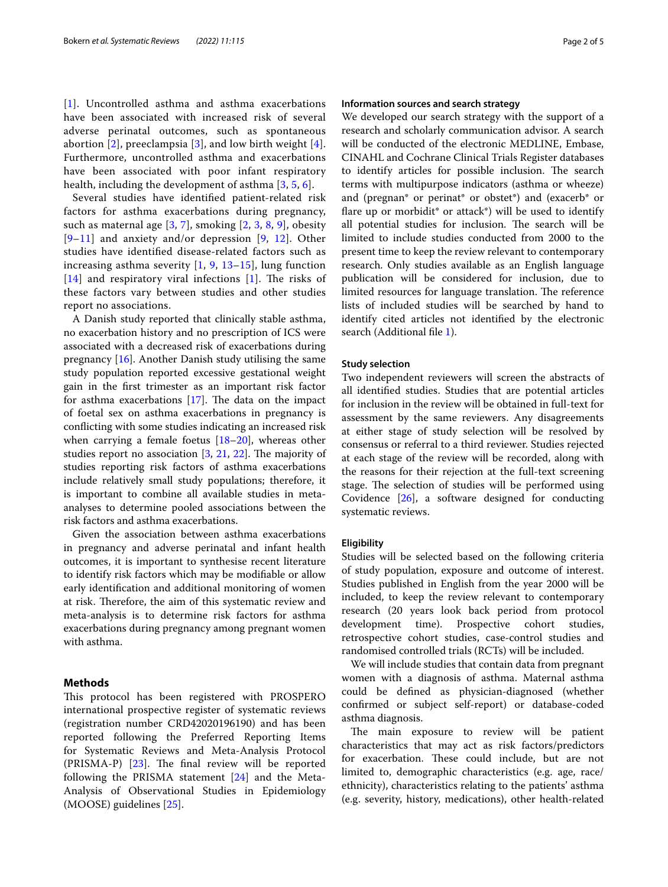[[1](#page-3-0)]. Uncontrolled asthma and asthma exacerbations have been associated with increased risk of several adverse perinatal outcomes, such as spontaneous abortion  $[2]$  $[2]$ , preeclampsia  $[3]$  $[3]$ , and low birth weight  $[4]$  $[4]$ . Furthermore, uncontrolled asthma and exacerbations have been associated with poor infant respiratory health, including the development of asthma [[3](#page-3-2), [5,](#page-3-4) [6\]](#page-3-5).

Several studies have identifed patient-related risk factors for asthma exacerbations during pregnancy, such as maternal age [[3,](#page-3-2) [7](#page-3-6)], smoking [[2,](#page-3-1) [3,](#page-3-2) [8,](#page-3-7) [9](#page-3-8)], obesity  $[9-11]$  $[9-11]$  $[9-11]$  and anxiety and/or depression  $[9, 12]$  $[9, 12]$  $[9, 12]$ . Other studies have identifed disease-related factors such as increasing asthma severity  $[1, 9, 13-15]$  $[1, 9, 13-15]$  $[1, 9, 13-15]$  $[1, 9, 13-15]$  $[1, 9, 13-15]$ , lung function  $[14]$  $[14]$  $[14]$  and respiratory viral infections  $[1]$  $[1]$ . The risks of these factors vary between studies and other studies report no associations.

A Danish study reported that clinically stable asthma, no exacerbation history and no prescription of ICS were associated with a decreased risk of exacerbations during pregnancy [[16](#page-4-5)]. Another Danish study utilising the same study population reported excessive gestational weight gain in the frst trimester as an important risk factor for asthma exacerbations  $[17]$  $[17]$ . The data on the impact of foetal sex on asthma exacerbations in pregnancy is conficting with some studies indicating an increased risk when carrying a female foetus  $[18–20]$  $[18–20]$ , whereas other studies report no association  $[3, 21, 22]$  $[3, 21, 22]$  $[3, 21, 22]$  $[3, 21, 22]$  $[3, 21, 22]$  $[3, 21, 22]$ . The majority of studies reporting risk factors of asthma exacerbations include relatively small study populations; therefore, it is important to combine all available studies in metaanalyses to determine pooled associations between the risk factors and asthma exacerbations.

Given the association between asthma exacerbations in pregnancy and adverse perinatal and infant health outcomes, it is important to synthesise recent literature to identify risk factors which may be modifable or allow early identifcation and additional monitoring of women at risk. Therefore, the aim of this systematic review and meta-analysis is to determine risk factors for asthma exacerbations during pregnancy among pregnant women with asthma.

#### **Methods**

This protocol has been registered with PROSPERO international prospective register of systematic reviews (registration number CRD42020196190) and has been reported following the Preferred Reporting Items for Systematic Reviews and Meta-Analysis Protocol  $(PRISMA-P)$   $[23]$  $[23]$ . The final review will be reported following the PRISMA statement [[24\]](#page-4-12) and the Meta-Analysis of Observational Studies in Epidemiology (MOOSE) guidelines [[25\]](#page-4-13).

#### **Information sources and search strategy**

We developed our search strategy with the support of a research and scholarly communication advisor. A search will be conducted of the electronic MEDLINE, Embase, CINAHL and Cochrane Clinical Trials Register databases to identify articles for possible inclusion. The search terms with multipurpose indicators (asthma or wheeze) and (pregnan\* or perinat\* or obstet\*) and (exacerb\* or flare up or morbidit\* or attack\*) will be used to identify all potential studies for inclusion. The search will be limited to include studies conducted from 2000 to the present time to keep the review relevant to contemporary research. Only studies available as an English language publication will be considered for inclusion, due to limited resources for language translation. The reference lists of included studies will be searched by hand to identify cited articles not identifed by the electronic search (Additional file [1](#page-3-9)).

#### **Study selection**

Two independent reviewers will screen the abstracts of all identifed studies. Studies that are potential articles for inclusion in the review will be obtained in full-text for assessment by the same reviewers. Any disagreements at either stage of study selection will be resolved by consensus or referral to a third reviewer. Studies rejected at each stage of the review will be recorded, along with the reasons for their rejection at the full-text screening stage. The selection of studies will be performed using Covidence [[26](#page-4-14)], a software designed for conducting systematic reviews.

#### **Eligibility**

Studies will be selected based on the following criteria of study population, exposure and outcome of interest. Studies published in English from the year 2000 will be included, to keep the review relevant to contemporary research (20 years look back period from protocol development time). Prospective cohort studies, retrospective cohort studies, case-control studies and randomised controlled trials (RCTs) will be included.

We will include studies that contain data from pregnant women with a diagnosis of asthma. Maternal asthma could be defned as physician-diagnosed (whether confrmed or subject self-report) or database-coded asthma diagnosis.

The main exposure to review will be patient characteristics that may act as risk factors/predictors for exacerbation. These could include, but are not limited to, demographic characteristics (e.g. age, race/ ethnicity), characteristics relating to the patients' asthma (e.g. severity, history, medications), other health-related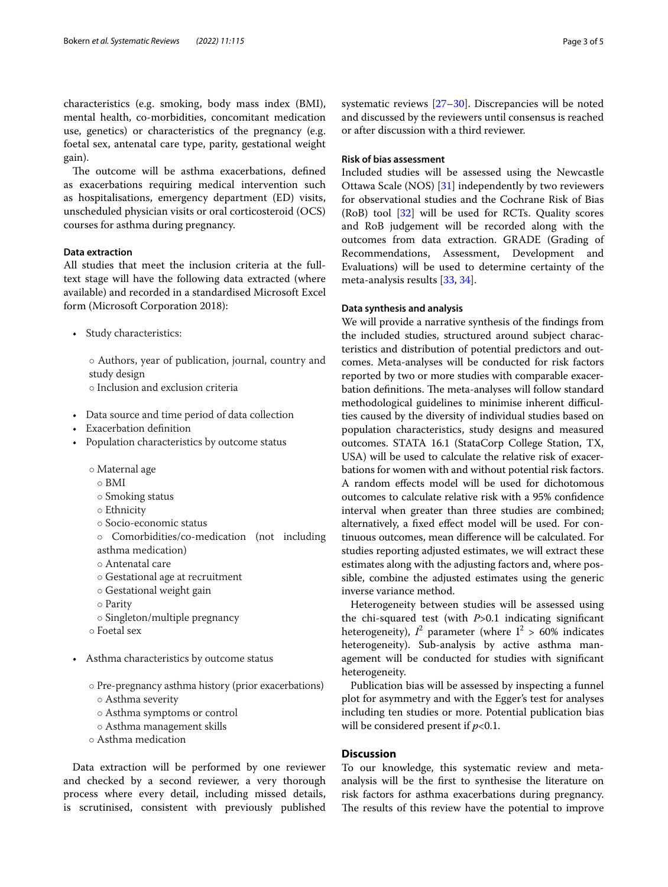characteristics (e.g. smoking, body mass index (BMI), mental health, co-morbidities, concomitant medication use, genetics) or characteristics of the pregnancy (e.g. foetal sex, antenatal care type, parity, gestational weight gain).

The outcome will be asthma exacerbations, defined as exacerbations requiring medical intervention such as hospitalisations, emergency department (ED) visits, unscheduled physician visits or oral corticosteroid (OCS) courses for asthma during pregnancy.

#### **Data extraction**

All studies that meet the inclusion criteria at the fulltext stage will have the following data extracted (where available) and recorded in a standardised Microsoft Excel form (Microsoft Corporation 2018):

• Study characteristics:

◦ Authors, year of publication, journal, country and study design

- Inclusion and exclusion criteria
- Data source and time period of data collection
- Exacerbation defnition
- Population characteristics by outcome status
	- Maternal age
		- $\circ$  BMI
		- Smoking status
		- Ethnicity
		- Socio-economic status
	- Comorbidities/co-medication (not including asthma medication)
	- Antenatal care
	- Gestational age at recruitment
	- Gestational weight gain
	- Parity
	- Singleton/multiple pregnancy
	- Foetal sex
- Asthma characteristics by outcome status
	- Pre-pregnancy asthma history (prior exacerbations) ◦ Asthma severity
		- Asthma symptoms or control
		- Asthma management skills
	- Asthma medication

Data extraction will be performed by one reviewer and checked by a second reviewer, a very thorough process where every detail, including missed details, is scrutinised, consistent with previously published systematic reviews [[27](#page-4-15)[–30](#page-4-16)]. Discrepancies will be noted and discussed by the reviewers until consensus is reached or after discussion with a third reviewer.

### **Risk of bias assessment**

Included studies will be assessed using the Newcastle Ottawa Scale (NOS) [\[31](#page-4-17)] independently by two reviewers for observational studies and the Cochrane Risk of Bias (RoB) tool [[32\]](#page-4-18) will be used for RCTs. Quality scores and RoB judgement will be recorded along with the outcomes from data extraction. GRADE (Grading of Recommendations, Assessment, Development and Evaluations) will be used to determine certainty of the meta-analysis results [\[33](#page-4-19), [34\]](#page-4-20).

#### **Data synthesis and analysis**

We will provide a narrative synthesis of the fndings from the included studies, structured around subject characteristics and distribution of potential predictors and outcomes. Meta-analyses will be conducted for risk factors reported by two or more studies with comparable exacerbation definitions. The meta-analyses will follow standard methodological guidelines to minimise inherent difficulties caused by the diversity of individual studies based on population characteristics, study designs and measured outcomes. STATA 16.1 (StataCorp College Station, TX, USA) will be used to calculate the relative risk of exacerbations for women with and without potential risk factors. A random efects model will be used for dichotomous outcomes to calculate relative risk with a 95% confdence interval when greater than three studies are combined; alternatively, a fxed efect model will be used. For continuous outcomes, mean diference will be calculated. For studies reporting adjusted estimates, we will extract these estimates along with the adjusting factors and, where possible, combine the adjusted estimates using the generic inverse variance method.

Heterogeneity between studies will be assessed using the chi-squared test (with *P*>0.1 indicating signifcant heterogeneity),  $I^2$  parameter (where  $I^2 > 60\%$  indicates heterogeneity). Sub-analysis by active asthma management will be conducted for studies with signifcant heterogeneity.

Publication bias will be assessed by inspecting a funnel plot for asymmetry and with the Egger's test for analyses including ten studies or more. Potential publication bias will be considered present if *p*<0.1.

#### **Discussion**

To our knowledge, this systematic review and metaanalysis will be the frst to synthesise the literature on risk factors for asthma exacerbations during pregnancy. The results of this review have the potential to improve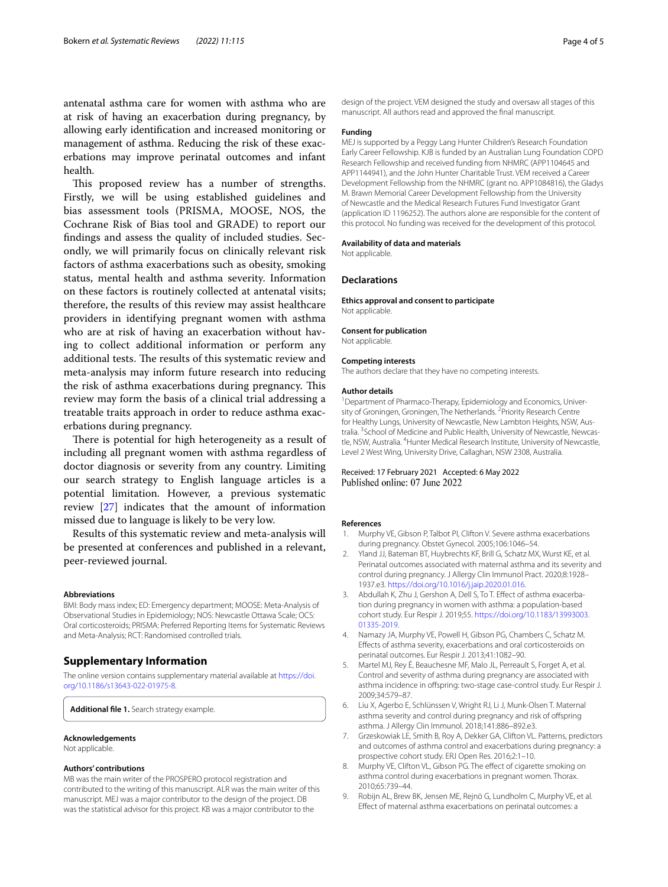antenatal asthma care for women with asthma who are at risk of having an exacerbation during pregnancy, by allowing early identifcation and increased monitoring or management of asthma. Reducing the risk of these exacerbations may improve perinatal outcomes and infant health.

This proposed review has a number of strengths. Firstly, we will be using established guidelines and bias assessment tools (PRISMA, MOOSE, NOS, the Cochrane Risk of Bias tool and GRADE) to report our fndings and assess the quality of included studies. Secondly, we will primarily focus on clinically relevant risk factors of asthma exacerbations such as obesity, smoking status, mental health and asthma severity. Information on these factors is routinely collected at antenatal visits; therefore, the results of this review may assist healthcare providers in identifying pregnant women with asthma who are at risk of having an exacerbation without having to collect additional information or perform any additional tests. The results of this systematic review and meta-analysis may inform future research into reducing the risk of asthma exacerbations during pregnancy. This review may form the basis of a clinical trial addressing a treatable traits approach in order to reduce asthma exacerbations during pregnancy.

There is potential for high heterogeneity as a result of including all pregnant women with asthma regardless of doctor diagnosis or severity from any country. Limiting our search strategy to English language articles is a potential limitation. However, a previous systematic review [\[27](#page-4-15)] indicates that the amount of information missed due to language is likely to be very low.

Results of this systematic review and meta-analysis will be presented at conferences and published in a relevant, peer-reviewed journal.

#### **Abbreviations**

BMI: Body mass index; ED: Emergency department; MOOSE: Meta-Analysis of Observational Studies in Epidemiology; NOS: Newcastle Ottawa Scale; OCS: Oral corticosteroids; PRISMA: Preferred Reporting Items for Systematic Reviews and Meta-Analysis; RCT: Randomised controlled trials.

#### **Supplementary Information**

The online version contains supplementary material available at [https://doi.](https://doi.org/10.1186/s13643-022-01975-8) [org/10.1186/s13643-022-01975-8](https://doi.org/10.1186/s13643-022-01975-8).

<span id="page-3-9"></span>**Additional fle 1.** Search strategy example.

#### **Acknowledgements**

Not applicable.

#### **Authors' contributions**

MB was the main writer of the PROSPERO protocol registration and contributed to the writing of this manuscript. ALR was the main writer of this manuscript. MEJ was a major contributor to the design of the project. DB was the statistical advisor for this project. KB was a major contributor to the

design of the project. VEM designed the study and oversaw all stages of this manuscript. All authors read and approved the fnal manuscript.

#### **Funding**

MEJ is supported by a Peggy Lang Hunter Children's Research Foundation Early Career Fellowship. KJB is funded by an Australian Lung Foundation COPD Research Fellowship and received funding from NHMRC (APP1104645 and APP1144941), and the John Hunter Charitable Trust. VEM received a Career Development Fellowship from the NHMRC (grant no. APP1084816), the Gladys M. Brawn Memorial Career Development Fellowship from the University of Newcastle and the Medical Research Futures Fund Investigator Grant (application ID 1196252). The authors alone are responsible for the content of this protocol. No funding was received for the development of this protocol.

#### **Availability of data and materials**

Not applicable.

#### **Declarations**

**Ethics approval and consent to participate** Not applicable.

#### **Consent for publication**

Not applicable.

#### **Competing interests**

The authors declare that they have no competing interests.

#### **Author details**

<sup>1</sup> Department of Pharmaco-Therapy, Epidemiology and Economics, University of Groningen, Groningen, The Netherlands. <sup>2</sup> Priority Research Centre for Healthy Lungs, University of Newcastle, New Lambton Heights, NSW, Australia. <sup>3</sup> School of Medicine and Public Health, University of Newcastle, Newcastle, NSW, Australia. <sup>4</sup> Hunter Medical Research Institute, University of Newcastle, Level 2 West Wing, University Drive, Callaghan, NSW 2308, Australia.

# Received: 17 February 2021 Accepted: 6 May 2022<br>Published online: 07 June 2022

#### **References**

- <span id="page-3-0"></span>1. Murphy VE, Gibson P, Talbot PI, Clifton V. Severe asthma exacerbations during pregnancy. Obstet Gynecol. 2005;106:1046–54.
- <span id="page-3-1"></span>2. Yland JJ, Bateman BT, Huybrechts KF, Brill G, Schatz MX, Wurst KE, et al. Perinatal outcomes associated with maternal asthma and its severity and control during pregnancy. J Allergy Clin Immunol Pract. 2020;8:1928– 1937.e3. <https://doi.org/10.1016/j.jaip.2020.01.016>.
- <span id="page-3-2"></span>3. Abdullah K, Zhu J, Gershon A, Dell S, To T. Efect of asthma exacerbation during pregnancy in women with asthma: a population-based cohort study. Eur Respir J. 2019;55. [https://doi.org/10.1183/13993003.](https://doi.org/10.1183/13993003.01335-2019) [01335-2019.](https://doi.org/10.1183/13993003.01335-2019)
- <span id="page-3-3"></span>4. Namazy JA, Murphy VE, Powell H, Gibson PG, Chambers C, Schatz M. Efects of asthma severity, exacerbations and oral corticosteroids on perinatal outcomes. Eur Respir J. 2013;41:1082–90.
- <span id="page-3-4"></span>5. Martel MJ, Rey É, Beauchesne MF, Malo JL, Perreault S, Forget A, et al. Control and severity of asthma during pregnancy are associated with asthma incidence in ofspring: two-stage case-control study. Eur Respir J. 2009;34:579–87.
- <span id="page-3-5"></span>6. Liu X, Agerbo E, Schlünssen V, Wright RJ, Li J, Munk-Olsen T. Maternal asthma severity and control during pregnancy and risk of ofspring asthma. J Allergy Clin Immunol. 2018;141:886–892.e3.
- <span id="page-3-6"></span>7. Grzeskowiak LE, Smith B, Roy A, Dekker GA, Clifton VL. Patterns, predictors and outcomes of asthma control and exacerbations during pregnancy: a prospective cohort study. ERJ Open Res. 2016;2:1–10.
- <span id="page-3-7"></span>8. Murphy VE, Clifton VL, Gibson PG. The effect of cigarette smoking on asthma control during exacerbations in pregnant women. Thorax. 2010;65:739–44.
- <span id="page-3-8"></span>9. Robijn AL, Brew BK, Jensen ME, Rejnö G, Lundholm C, Murphy VE, et al. Efect of maternal asthma exacerbations on perinatal outcomes: a